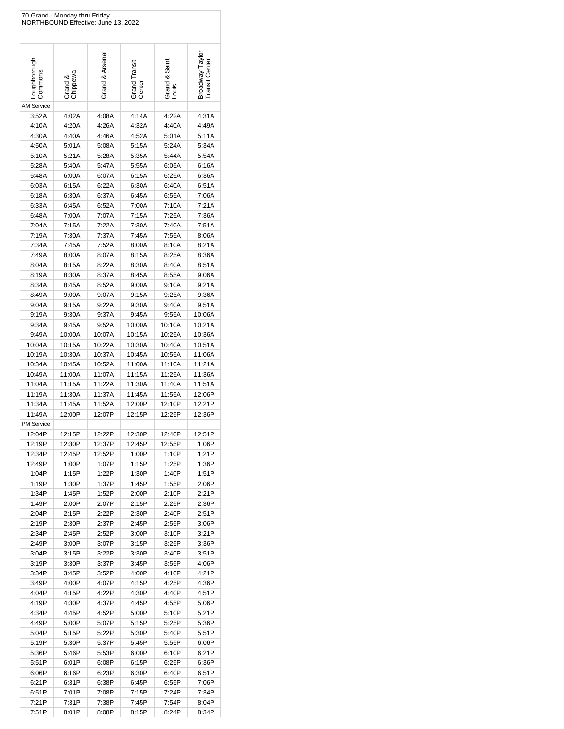|                             | 70 Grand - Monday thru Friday<br>NORTHBOUND Effective: June 13, 2022 |                 |                         |                        |                                 |
|-----------------------------|----------------------------------------------------------------------|-----------------|-------------------------|------------------------|---------------------------------|
| Loughborough<br>Commons     | Grand &<br>Chippewa                                                  | Grand & Arsenal | Grand Transit<br>Center | Grand & Saint<br>Louis | Broadway-Tayl<br>Transit Center |
| <b>AM Service</b>           |                                                                      |                 |                         |                        |                                 |
| 3:52A                       | 4:02A                                                                | 4:08A           | 4:14A                   | 4:22A                  | 4:31A                           |
| 4:10A                       | 4:20A                                                                | 4:26A           | 4:32A                   | 4:40A                  | 4:49A                           |
| 4:30A                       | 4:40A                                                                | 4:46A           | 4:52A                   | 5:01A                  | 5:11A                           |
| 4:50A                       | 5:01A                                                                | 5:08A           | 5:15A                   | 5:24A                  | 5:34A                           |
| 5:10A                       | 5:21A                                                                | 5:28A           | 5:35A                   | 5:44A                  | 5:54A                           |
| 5:28A                       | 5:40A                                                                | 5:47A           | 5:55A                   | 6:05A                  | 6:16A                           |
| 5:48A                       | 6:00A                                                                | 6:07A           | 6:15A                   | 6:25A                  | 6:36A                           |
| 6:03A<br>6:18A              | 6:15A<br>6:30A                                                       | 6:22A<br>6:37A  | 6:30A<br>6:45A          | 6:40A<br>6:55A         | 6:51A<br>7:06A                  |
| 6:33A                       | 6:45A                                                                | 6:52A           | 7:00A                   | 7:10A                  | 7:21A                           |
| 6:48A                       | 7:00A                                                                | 7:07A           | 7:15A                   | 7:25A                  | 7:36A                           |
| 7:04A                       | 7:15A                                                                | 7:22A           | 7:30A                   | 7:40A                  | 7:51A                           |
| 7:19A                       | 7:30A                                                                | 7:37A           | 7:45A                   | 7:55A                  | 8:06A                           |
| 7:34A                       | 7:45A                                                                | 7:52A           | 8:00A                   | 8:10A                  | 8:21A                           |
| 7:49A                       | 8:00A                                                                | 8:07A           | 8:15A                   | 8:25A                  | 8:36A                           |
| 8:04A                       | 8:15A                                                                | 8:22A           | 8:30A                   | 8:40A                  | 8:51A                           |
| 8:19A                       | 8:30A                                                                | 8:37A           | 8:45A                   | 8:55A                  | 9:06A                           |
| 8:34A                       | 8:45A                                                                | 8:52A           | 9:00A                   | 9:10A                  | 9:21A                           |
| 8:49A                       | 9:00A                                                                | 9:07A           | 9:15A                   | 9:25A                  | 9:36A                           |
| 9:04A                       | 9:15A                                                                | 9:22A           | 9:30A                   | 9:40A                  | 9:51A                           |
| 9:19A<br>9:34A              | 9:30A<br>9:45A                                                       | 9:37A<br>9:52A  | 9:45A<br>10:00A         | 9:55A<br>10:10A        | 10:06A<br>10:21A                |
| 9:49A                       | 10:00A                                                               | 10:07A          | 10:15A                  | 10:25A                 | 10:36A                          |
| 10:04A                      | 10:15A                                                               | 10:22A          | 10:30A                  | 10:40A                 | 10:51A                          |
| 10:19A                      | 10:30A                                                               | 10:37A          | 10:45A                  | 10:55A                 | 11:06A                          |
| 10:34A                      | 10:45A                                                               | 10:52A          | 11:00A                  | 11:10A                 | 11:21A                          |
| 10:49A                      | 11:00A                                                               | 11:07A          | 11:15A                  | 11:25A                 | 11:36A                          |
| 11:04A                      | 11:15A                                                               | 11:22A          | 11:30A                  | 11:40A                 | 11:51A                          |
| 11:19A                      | 11:30A                                                               | 11:37A          | 11:45A                  | 11:55A                 | 12:06P                          |
| 11:34A                      | 11:45A                                                               | 11:52A          | 12:00P                  | 12:10P                 | 12:21P                          |
| 11:49A                      | 12:00P                                                               | 12:07P          | 12:15P                  | 12:25P                 | 12:36P                          |
| <b>PM Service</b><br>12:04P | 12:15P                                                               | 12:22P          | 12:30P                  | 12:40P                 | 12:51P                          |
| 12:19P                      | 12:30P                                                               | 12:37P          | 12:45P                  | 12:55P                 | 1:06P                           |
| 12:34P                      | 12:45P                                                               | 12:52P          | 1:00P                   | 1:10P                  | 1:21P                           |
| 12:49P                      | 1:00P                                                                | 1:07P           | 1:15P                   | 1:25P                  | 1:36P                           |
| 1:04P                       | 1:15P                                                                | 1:22P           | 1:30P                   | 1:40P                  | 1:51P                           |
| 1:19P                       | 1:30P                                                                | 1:37P           | 1:45P                   | 1:55P                  | 2:06P                           |
| 1:34P                       | 1:45P                                                                | 1:52P           | 2:00P                   | 2:10P                  | 2:21P                           |
| 1:49P                       | 2:00P                                                                | 2:07P           | 2:15P                   | 2:25P                  | 2:36P<br>2:51P                  |
| 2:04P<br>2:19P              | 2:15P<br>2:30P                                                       | 2:22P<br>2:37P  | 2:30P<br>2:45P          | 2:40P<br>2:55P         | 3:06P                           |
| 2:34P                       | 2:45P                                                                | 2:52P           | 3:00P                   | 3:10P                  | 3:21P                           |
| 2:49P                       | 3:00P                                                                | 3:07P           | 3:15P                   | 3:25P                  | 3:36P                           |
| 3:04P                       | 3:15P                                                                | 3:22P           | 3:30P                   | 3:40P                  | 3:51P                           |
| 3:19P                       | 3:30P                                                                | 3:37P           | 3:45P                   | 3:55P                  | 4:06P                           |
| 3:34P                       | 3:45P                                                                | 3:52P           | 4:00P                   | 4:10P                  | 4:21P                           |
| 3:49P                       | 4:00P                                                                | 4:07P           | 4:15P                   | 4:25P                  | 4:36P                           |
| 4:04P                       | 4:15P                                                                | 4:22P           | 4:30P                   | 4:40P                  | 4:51P                           |
| 4:19P                       | 4:30P                                                                | 4:37P           | 4:45P                   | 4:55P                  | 5:06P                           |
| 4:34P<br>4:49P              | 4:45P                                                                | 4:52P           | 5:00P                   | 5:10P                  | 5:21P                           |
| 5:04P                       | 5:00P<br>5:15P                                                       | 5:07P<br>5:22P  | 5:15P<br>5:30P          | 5:25P<br>5:40P         | 5:36P<br>5:51P                  |
| 5:19P                       | 5:30P                                                                | 5:37P           | 5:45P                   | 5:55P                  | 6:06P                           |
| 5:36P                       | 5:46P                                                                | 5:53P           | 6:00P                   | 6:10P                  | 6:21P                           |
| 5:51P                       | 6:01P                                                                | 6:08P           | 6:15P                   | 6:25P                  | 6:36P                           |
| 6:06P                       | 6:16P                                                                | 6:23P           | 6:30P                   | 6:40P                  | 6:51P                           |
| 6:21P                       | 6:31P                                                                | 6:38P           | 6:45P                   | 6:55P                  | 7:06P                           |
| 6:51P                       | 7:01P                                                                | 7:08P           | 7:15P                   | 7:24P                  | 7:34P                           |
| 7:21P                       | 7:31P                                                                | 7:38P           | 7:45P                   | 7:54P                  | 8:04P                           |
| 7:51P                       | 8:01P                                                                | 8:08P           | 8:15P                   | 8:24P                  | 8:34P                           |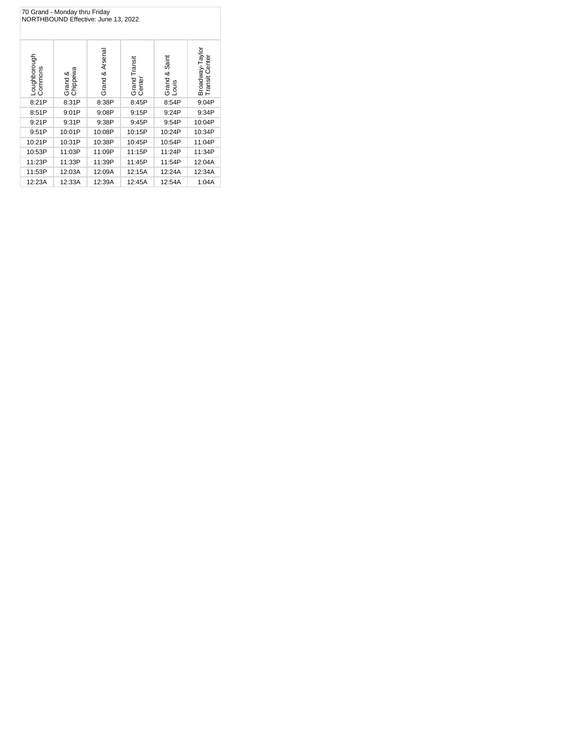| 70 Grand - Monday thru Friday<br>NORTHBOUND Effective: June 13, 2022 |                     |                 |                         |                              |                                   |  |  |
|----------------------------------------------------------------------|---------------------|-----------------|-------------------------|------------------------------|-----------------------------------|--|--|
| Loughborough<br>Commons                                              | Grand &<br>Chippewa | Grand & Arsenal | Grand Transit<br>Center | Saint<br>య<br>Grand<br>Louis | Broadway-Taylor<br>Transit Center |  |  |
| 8:21P                                                                | 8:31P               | 8:38P           | 8:45P                   | 8:54P                        | 9:04P                             |  |  |
| 8:51P                                                                | 9:01P               | 9:08P           | 9:15P                   | 9:24P                        | 9:34P                             |  |  |
| 9:21P                                                                | 9:31P               | 9:38P           | 9:45P                   | 9:54P                        | 10:04P                            |  |  |
| 9:51P                                                                | 10:01P              | 10:08P          | 10:15P                  | 10:24P                       | 10:34P                            |  |  |
| 10:21P                                                               | 10:31P              | 10:38P          | 10:45P                  | 10:54P                       | 11:04P                            |  |  |
| 10:53P                                                               | 11:03P              | 11:09P          | 11:15P                  | 11:24P                       | 11:34P                            |  |  |
| 11:23P                                                               | 11:33P              | 11:39P          | 11:45P                  | 11:54P                       | 12:04A                            |  |  |
| 11:53P                                                               | 12:03A              | 12:09A          | 12:15A                  | 12:24A                       | 12:34A                            |  |  |
| 12:23A                                                               | 12:33A              | 12:39A          | 12:45A                  | 12:54A                       | 1:04A                             |  |  |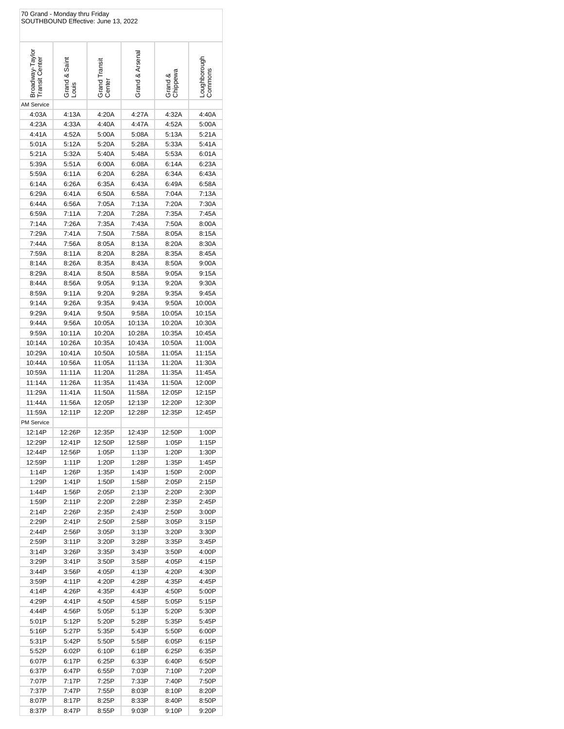| 70 Grand - Monday thru Friday<br>SOUTHBOUND Effective: June 13, 2022 |                        |                         |                 |                     |                         |  |
|----------------------------------------------------------------------|------------------------|-------------------------|-----------------|---------------------|-------------------------|--|
| Broadway-Taylor<br>Transit Center                                    | Grand & Saint<br>Louis | Grand Transit<br>Center | Grand & Arsena  | Grand &<br>Chippewa | Loughborough<br>Commons |  |
| <b>AM Service</b>                                                    |                        |                         |                 |                     |                         |  |
| 4:03A                                                                | 4:13A                  | 4:20A                   | 4:27A           | 4:32A               | 4:40A                   |  |
| 4:23A                                                                | 4:33A                  | 4:40A                   | 4:47A           | 4:52A               | 5:00A                   |  |
| 4:41A                                                                | 4:52A                  | 5:00A                   | 5:08A           | 5:13A               | 5:21A                   |  |
| 5:01A                                                                | 5:12A                  | 5:20A                   | 5:28A           | 5:33A               | 5:41A                   |  |
| 5:21A                                                                | 5:32A                  | 5:40A                   | 5:48A           | 5:53A               | 6:01A                   |  |
| 5:39A<br>5:59A                                                       | 5:51A<br>6:11A         | 6:00A<br>6:20A          | 6:08A<br>6:28A  | 6:14A<br>6:34A      | 6:23A<br>6:43A          |  |
| 6:14A                                                                | 6:26A                  | 6:35A                   | 6:43A           | 6:49A               | 6:58A                   |  |
| 6:29A                                                                | 6:41A                  | 6:50A                   | 6:58A           | 7:04A               | 7:13A                   |  |
| 6:44A                                                                | 6:56A                  | 7:05A                   | 7:13A           | 7:20A               | 7:30A                   |  |
| 6:59A                                                                | 7:11A                  | 7:20A                   | 7:28A           | 7:35A               | 7:45A                   |  |
| 7:14A                                                                | 7:26A                  | 7:35A                   | 7:43A           | 7:50A               | 8:00A                   |  |
| 7:29A                                                                | 7:41A                  | 7:50A                   | 7:58A           | 8:05A               | 8:15A                   |  |
| 7:44A                                                                | 7:56A                  | 8:05A                   | 8:13A           | 8:20A               | 8:30A                   |  |
| 7:59A                                                                | 8:11A                  | 8:20A                   | 8:28A           | 8:35A               | 8:45A                   |  |
| 8:14A                                                                | 8:26A                  | 8:35A                   | 8:43A           | 8:50A               | 9:00A                   |  |
| 8:29A                                                                | 8:41A                  | 8:50A                   | 8:58A           | 9:05A               | 9:15A                   |  |
| 8:44A                                                                | 8:56A                  | 9:05A                   | 9:13A           | 9:20A               | 9:30A                   |  |
| 8:59A                                                                | 9:11A                  | 9:20A                   | 9:28A           | 9:35A               | 9:45A                   |  |
| 9:14A                                                                | 9:26A                  | 9:35A                   | 9:43A           | 9:50A               | 10:00A                  |  |
| 9:29A<br>9:44A                                                       | 9:41A<br>9:56A         | 9:50A<br>10:05A         | 9:58A<br>10:13A | 10:05A<br>10:20A    | 10:15A<br>10:30A        |  |
| 9:59A                                                                | 10:11A                 | 10:20A                  | 10:28A          | 10:35A              | 10:45A                  |  |
| 10:14A                                                               | 10:26A                 | 10:35A                  | 10:43A          | 10:50A              | 11:00A                  |  |
| 10:29A                                                               | 10:41A                 | 10:50A                  | 10:58A          | 11:05A              | 11:15A                  |  |
| 10:44A                                                               | 10:56A                 | 11:05A                  | 11:13A          | 11:20A              | 11:30A                  |  |
| 10:59A                                                               | 11:11A                 | 11:20A                  | 11:28A          | 11:35A              | 11:45A                  |  |
| 11:14A                                                               | 11:26A                 | 11:35A                  | 11:43A          | 11:50A              | 12:00P                  |  |
| 11:29A                                                               | 11:41A                 | 11:50A                  | 11:58A          | 12:05P              | 12:15P                  |  |
| 11:44A                                                               | 11:56A                 | 12:05P                  | 12:13P          | 12:20P              | 12:30P                  |  |
| 11:59A<br><b>PM Service</b>                                          | 12:11P                 | 12:20P                  | 12:28P          | 12:35P              | 12:45P                  |  |
| 12:14P                                                               | 12:26P                 | 12:35P                  | 12:43P          | 12:50P              | 1:00P                   |  |
| 12:29P                                                               | 12:41P                 | 12:50P                  | 12:58P          | 1:05P               | 1:15P                   |  |
| 12:44P                                                               | 12:56P                 | 1:05P                   | 1:13P           | 1:20P               | 1:30P                   |  |
| 12:59P                                                               | 1:11P                  | 1:20P                   | 1:28P           | 1:35P               | 1:45P                   |  |
| 1:14P                                                                | 1:26P                  | 1:35P                   | 1:43P           | 1:50P               | 2:00P                   |  |
| 1:29P                                                                | 1:41P                  | 1:50P                   | 1:58P           | 2:05P               | 2:15P                   |  |
| 1:44P<br>1:59P                                                       | 1:56P<br>2:11P         | 2:05P<br>2:20P          | 2:13P<br>2:28P  | 2:20P<br>2:35P      | 2:30P<br>2:45P          |  |
| 2:14P                                                                | 2:26P                  | 2:35P                   | 2:43P           | 2:50P               | 3:00P                   |  |
| 2:29P                                                                | 2:41P                  | 2:50P                   | 2:58P           | 3:05P               | 3:15P                   |  |
| 2:44P                                                                | 2:56P                  | 3:05P                   | 3:13P           | 3:20P               | 3:30P                   |  |
| 2:59P                                                                | 3:11P                  | 3:20P                   | 3:28P           | 3:35P               | 3:45P                   |  |
| 3:14P                                                                | 3:26P                  | 3:35P                   | 3:43P           | 3:50P               | 4:00P                   |  |
| 3:29P                                                                | 3:41P                  | 3:50P                   | 3:58P           | 4:05P               | 4:15P                   |  |
| 3:44P                                                                | 3:56P                  | 4:05P                   | 4:13P           | 4:20P               | 4:30P                   |  |
| 3:59P                                                                | 4:11P                  | 4:20P                   | 4:28P           | 4:35P               | 4:45P                   |  |
| 4:14P                                                                | 4:26P                  | 4:35P                   | 4:43P           | 4:50P               | 5:00P                   |  |
| 4:29P                                                                | 4:41P                  | 4:50P                   | 4:58P           | 5:05P               | 5:15P                   |  |
| 4:44P<br>5:01P                                                       | 4:56P<br>5:12P         | 5:05P<br>5:20P          | 5:13P<br>5:28P  | 5:20P<br>5:35P      | 5:30P<br>5:45P          |  |
| 5:16P                                                                | 5:27P                  | 5:35P                   | 5:43P           | 5:50P               | 6:00P                   |  |
| 5:31P                                                                | 5:42P                  | 5:50P                   | 5:58P           | 6:05P               | 6:15P                   |  |
| 5:52P                                                                | 6:02P                  | 6:10P                   | 6:18P           | 6:25P               | 6:35P                   |  |
| 6:07P                                                                | 6:17P                  | 6:25P                   | 6:33P           | 6:40P               | 6:50P                   |  |
| 6:37P                                                                | 6:47P                  | 6:55P                   | 7:03P           | 7:10P               | 7:20P                   |  |
| 7:07P                                                                | 7:17P                  | 7:25P                   | 7:33P           | 7:40P               | 7:50P                   |  |
| 7:37P                                                                | 7:47P                  | 7:55P                   | 8:03P           | 8:10P               | 8:20P                   |  |
| 8:07P                                                                | 8:17P                  | 8:25P                   | 8:33P           | 8:40P               | 8:50P                   |  |
| 8:37P                                                                | 8:47P                  | 8:55P                   | 9:03P           | 9:10P               | 9:20P                   |  |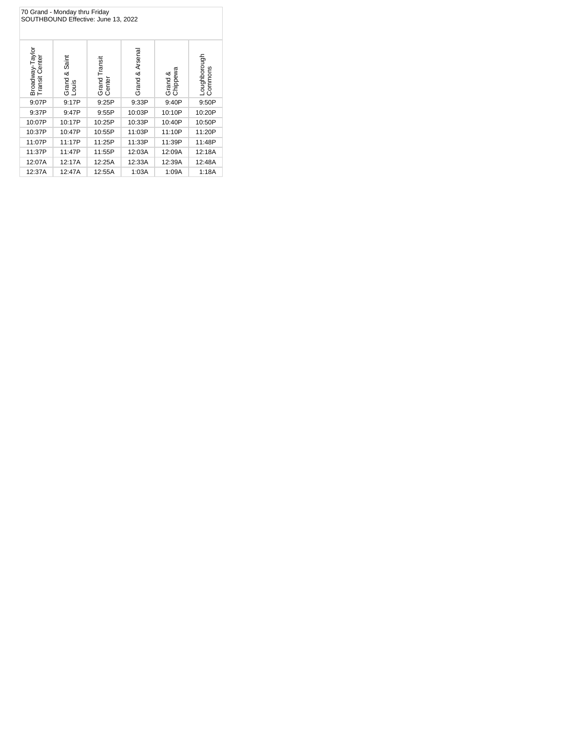| 70 Grand - Monday thru Friday<br>SOUTHBOUND Effective: June 13, 2022 |                           |                         |                 |                     |                         |  |  |
|----------------------------------------------------------------------|---------------------------|-------------------------|-----------------|---------------------|-------------------------|--|--|
| Broadway-Taylor<br>Transit Center                                    | & Saint<br>Grand<br>Louis | Grand Transit<br>Center | Grand & Arsenal | Grand &<br>Chippewa | Loughborough<br>Commons |  |  |
| 9:07P                                                                | 9:17P                     | 9:25P                   | 9:33P           | 9:40P               | 9:50P                   |  |  |
| 9:37P                                                                | 9:47P                     | 9:55P                   | 10:03P          | 10:10P              | 10:20P                  |  |  |
| 10:07P                                                               | 10:17P                    | 10:25P                  | 10:33P          | 10:40P              | 10:50P                  |  |  |
| 10:37P                                                               | 10:47P                    | 10:55P                  | 11:03P          | 11:10P              | 11:20P                  |  |  |
| 11:07P                                                               | 11:17P                    | 11:25P                  | 11:33P          | 11:39P              | 11:48P                  |  |  |
| 11:37P                                                               | 11:47P                    | 11:55P                  | 12:03A          | 12:09A              | 12:18A                  |  |  |
| 12:07A                                                               | 12:17A                    | 12:25A                  | 12:33A          | 12:39A              | 12:48A                  |  |  |
| 12:37A                                                               | 12:47A                    | 12:55A                  | 1:03A           | 1:09A               | 1:18A                   |  |  |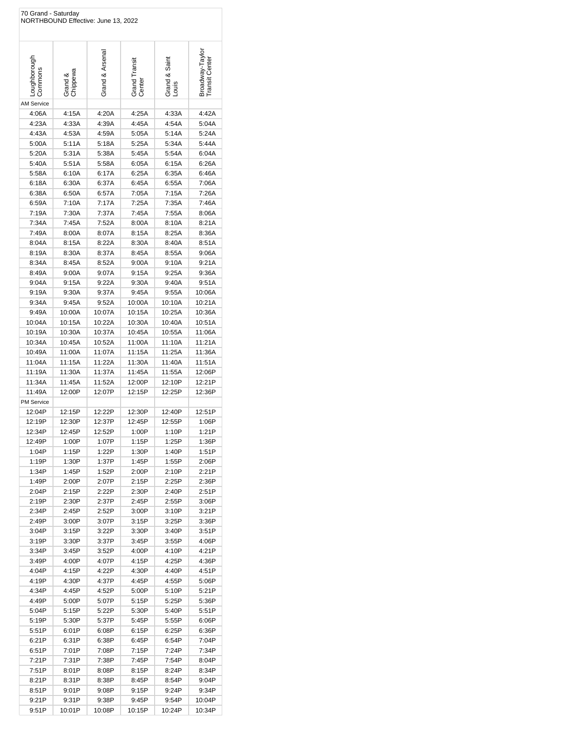| 70 Grand - Saturday     | NORTHBOUND Effective: June 13, 2022 |                  |                         |                        |                                  |
|-------------------------|-------------------------------------|------------------|-------------------------|------------------------|----------------------------------|
| -oughborough<br>Commons | Grand &<br>Chippewa                 | Grand & Arsena   | Grand Transit<br>Center | Grand & Saint<br>Louis | Broadway-Taylo<br>Transit Center |
| AM Service              |                                     |                  |                         |                        |                                  |
| 4:06A                   | 4:15A                               | 4:20A            | 4:25A                   | 4:33A                  | 4:42A                            |
| 4:23A                   | 4:33A                               | 4:39A            | 4:45A                   | 4:54A                  | 5:04A                            |
| 4:43A                   | 4:53A                               | 4:59A            | 5:05A                   | 5:14A                  | 5:24A                            |
| 5:00A                   | 5:11A                               | 5:18A            | 5:25A                   | 5:34A                  | 5:44A                            |
| 5:20A                   | 5:31A                               | 5:38A            | 5:45A                   | 5:54A                  | 6:04A                            |
| 5:40A                   | 5:51A                               | 5:58A            | 6:05A                   | 6:15A                  | 6:26A                            |
| 5:58A                   | 6:10A                               | 6:17A            | 6:25A                   | 6:35A                  | 6:46A                            |
| 6:18A<br>6:38A          | 6:30A                               | 6:37A            | 6:45A                   | 6:55A                  | 7:06A                            |
| 6:59A                   | 6:50A<br>7:10A                      | 6:57A<br>7:17A   | 7:05A<br>7:25A          | 7:15A<br>7:35A         | 7:26A<br>7:46A                   |
| 7:19A                   | 7:30A                               | 7:37A            | 7:45A                   | 7:55A                  | 8:06A                            |
| 7:34A                   | 7:45A                               | 7:52A            | 8:00A                   | 8:10A                  | 8:21A                            |
| 7:49A                   | 8:00A                               | 8:07A            | 8:15A                   | 8:25A                  | 8:36A                            |
| 8:04A                   | 8:15A                               | 8:22A            | 8:30A                   | 8:40A                  | 8:51A                            |
| 8:19A                   | 8:30A                               | 8:37A            | 8:45A                   | 8:55A                  | 9:06A                            |
| 8:34A                   | 8:45A                               | 8:52A            | 9:00A                   | 9:10A                  | 9:21A                            |
| 8:49A                   | 9:00A                               | 9:07A            | 9:15A                   | 9:25A                  | 9:36A                            |
| 9:04A                   | 9:15A                               | 9:22A            | 9:30A                   | 9:40A                  | 9:51A                            |
| 9:19A                   | 9:30A                               | 9:37A            | 9:45A                   | 9:55A                  | 10:06A                           |
| 9:34A                   | 9:45A                               | 9:52A            | 10:00A                  | 10:10A                 | 10:21A                           |
| 9:49A                   | 10:00A                              | 10:07A           | 10:15A                  | 10:25A                 | 10:36A                           |
| 10:04A                  | 10:15A                              | 10:22A           | 10:30A                  | 10:40A                 | 10:51A                           |
| 10:19A                  | 10:30A                              | 10:37A           | 10:45A                  | 10:55A                 | 11:06A                           |
| 10:34A                  | 10:45A                              | 10:52A           | 11:00A                  | 11:10A                 | 11:21A                           |
| 10:49A                  | 11:00A                              | 11:07A           | 11:15A                  | 11:25A                 | 11:36A                           |
| 11:04A                  | 11:15A                              | 11:22A           | 11:30A                  | 11:40A                 | 11:51A                           |
| 11:19A                  | 11:30A                              | 11:37A           | 11:45A                  | 11:55A                 | 12:06P                           |
| 11:34A<br>11:49A        | 11:45A<br>12:00P                    | 11:52A<br>12:07P | 12:00P<br>12:15P        | 12:10P<br>12:25P       | 12:21P<br>12:36P                 |
| <b>PM Service</b>       |                                     |                  |                         |                        |                                  |
| 12:04P                  | 12:15P                              | 12:22P           | 12:30P                  | 12:40P                 | 12:51P                           |
| 12:19P                  | 12:30P                              | 12:37P           | 12:45P                  | 12:55P                 | 1:06P                            |
| 12:34P                  | 12:45P                              | 12:52P           | 1:00P                   | 1:10P                  | 1:21P                            |
| 12:49P                  | 1:00P                               | 1:07P            | 1:15P                   | 1:25P                  | 1:36P                            |
| 1:04P                   | 1:15P                               | 1:22P            | 1:30P                   | 1:40P                  | 1:51P                            |
| 1:19P                   | 1:30P                               | 1:37P            | 1:45P                   | 1:55P                  | 2:06P                            |
| 1:34P                   | 1:45P                               | 1:52P            | 2:00P                   | 2:10P                  | 2:21P                            |
| 1:49P                   | 2:00P                               | 2:07P            | 2:15P                   | 2:25P                  | 2:36P                            |
| 2:04P                   | 2:15P                               | 2:22P            | 2:30P                   | 2:40P                  | 2:51P                            |
| 2:19P                   | 2:30P                               | 2:37P            | 2:45P                   | 2:55P                  | 3:06P                            |
| 2:34P                   | 2:45P                               | 2:52P            | 3:00P                   | 3:10P                  | 3:21P                            |
| 2:49P                   | 3:00P                               | 3:07P            | 3:15P                   | 3:25P                  | 3:36P                            |
| 3:04P<br>3:19P          | 3:15P<br>3:30P                      | 3:22P<br>3:37P   | 3:30P<br>3:45P          | 3:40P<br>3:55P         | 3:51P<br>4:06P                   |
| 3:34P                   | 3:45P                               | 3:52P            | 4:00P                   | 4:10P                  | 4:21P                            |
| 3:49P                   | 4:00P                               | 4:07P            | 4:15P                   | 4:25P                  | 4:36P                            |
| 4:04P                   | 4:15P                               | 4:22P            | 4:30P                   | 4:40P                  | 4:51P                            |
| 4:19P                   | 4:30P                               | 4:37P            | 4:45P                   | 4:55P                  | 5:06P                            |
| 4:34P                   | 4:45P                               | 4:52P            | 5:00P                   | 5:10P                  | 5:21P                            |
| 4:49P                   | 5:00P                               | 5:07P            | 5:15P                   | 5:25P                  | 5:36P                            |
| 5:04P                   | 5:15P                               | 5:22P            | 5:30P                   | 5:40P                  | 5:51P                            |
| 5:19P                   | 5:30P                               | 5:37P            | 5:45P                   | 5:55P                  | 6:06P                            |
| 5:51P                   | 6:01P                               | 6:08P            | 6:15P                   | 6:25P                  | 6:36P                            |
| 6:21P                   | 6:31P                               | 6:38P            | 6:45P                   | 6:54P                  | 7:04P                            |
| 6:51P                   | 7:01P                               | 7:08P            | 7:15P                   | 7:24P                  | 7:34P                            |
| 7:21P                   | 7:31P                               | 7:38P            | 7:45P                   | 7:54P                  | 8:04P                            |
| 7:51P                   | 8:01P                               | 8:08P            | 8:15P                   | 8:24P                  | 8:34P                            |
| 8:21P                   | 8:31P                               | 8:38P            | 8:45P                   | 8:54P                  | 9:04P                            |
| 8:51P                   | 9:01P                               | 9:08P            | 9:15P                   | 9:24P                  | 9:34P                            |
| 9:21P                   | 9:31P                               | 9:38P            | 9:45P                   | 9:54P                  | 10:04P                           |
| 9:51P                   | 10:01P                              | 10:08P           | 10:15P                  | 10:24P                 | 10:34P                           |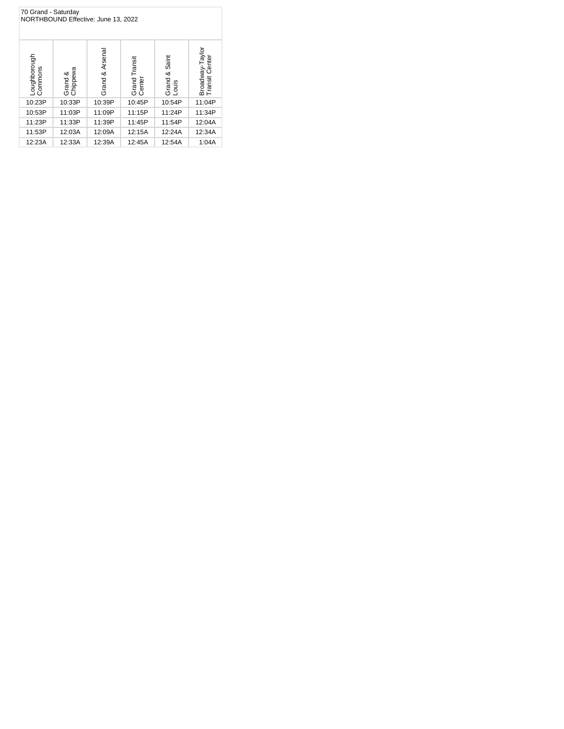| 70 Grand - Saturday<br>NORTHBOUND Effective: June 13, 2022 |                     |                    |                         |                              |                                      |  |  |
|------------------------------------------------------------|---------------------|--------------------|-------------------------|------------------------------|--------------------------------------|--|--|
| Loughborough<br>Commons                                    | Grand &<br>Chippewa | & Arsenal<br>Grand | Grand Transit<br>Center | Saint<br>త<br>Grand<br>Louis | Broadway-Taylor<br>Center<br>Transit |  |  |
| 10:23P                                                     | 10:33P              | 10:39P             | 10:45P                  | 10:54P                       | 11:04P                               |  |  |
| 10:53P                                                     | 11:03P              | 11:09P             | 11:15P                  | 11:24P                       | 11:34P                               |  |  |
| 11:23P                                                     | 11:33P              | 11:39P             | 11:45P                  | 11:54P                       | 12:04A                               |  |  |
| 11:53P                                                     | 12:03A              | 12:09A             | 12:15A                  | 12:24A                       | 12:34A                               |  |  |
| 12:23A                                                     | 12:33A              | 12:39A             | 12:45A                  | 12:54A                       | 1:04A                                |  |  |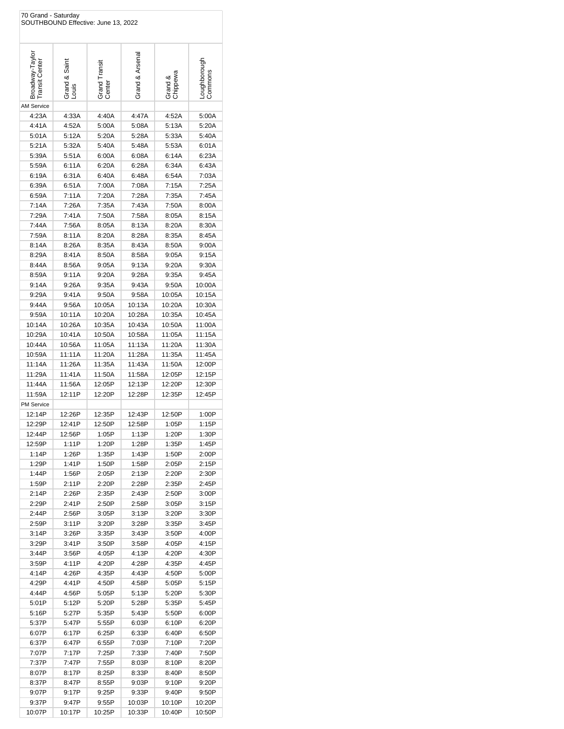| 70 Grand - Saturday               | SOUTHBOUND Effective: June 13, 2022 |                         |                |                     |                           |
|-----------------------------------|-------------------------------------|-------------------------|----------------|---------------------|---------------------------|
| Broadway-Taylor<br>Transit Center | Grand & Saint<br>Louis              | Grand Transit<br>Center | Grand & Arsena | Grand &<br>Chippewa | Loughborough<br>  Commons |
| <b>AM Service</b>                 |                                     |                         |                |                     |                           |
| 4:23A                             | 4:33A                               | 4:40A                   | 4:47A          | 4:52A               | 5:00A                     |
| 4:41A                             | 4:52A                               | 5:00A                   | 5:08A          | 5:13A               | 5:20A                     |
| 5:01A                             | 5:12A                               | 5:20A                   | 5:28A          | 5:33A               | 5:40A                     |
| 5:21A                             | 5:32A                               | 5:40A                   | 5:48A          | 5:53A               | 6:01A                     |
| 5:39A                             | 5:51A                               | 6:00A                   | 6:08A          | 6:14A               | 6:23A                     |
| 5:59A                             | 6:11A                               | 6:20A                   | 6:28A          | 6:34A               | 6:43A                     |
| 6:19A                             | 6:31A                               | 6:40A                   | 6:48A          | 6:54A               | 7:03A                     |
| 6:39A                             | 6:51A                               | 7:00A                   | 7:08A          | 7:15A               | 7:25A                     |
| 6:59A                             | 7:11A                               | 7:20A                   | 7:28A          | 7:35A               | 7:45A                     |
| 7:14A                             | 7:26A                               | 7:35A                   | 7:43A          | 7:50A               | 8:00A                     |
| 7:29A                             | 7:41A                               | 7:50A                   | 7:58A          | 8:05A               | 8:15A                     |
| 7:44A<br>7:59A                    | 7:56A<br>8:11A                      | 8:05A<br>8:20A          | 8:13A<br>8:28A | 8:20A<br>8:35A      | 8:30A<br>8:45A            |
| 8:14A                             | 8:26A                               | 8:35A                   | 8:43A          | 8:50A               | 9:00A                     |
| 8:29A                             | 8:41A                               | 8:50A                   | 8:58A          | 9:05A               | 9:15A                     |
| 8:44A                             | 8:56A                               | 9:05A                   | 9:13A          | 9:20A               | 9:30A                     |
| 8:59A                             | 9:11A                               | 9:20A                   | 9:28A          | 9:35A               | 9:45A                     |
| 9:14A                             | 9:26A                               | 9:35A                   | 9:43A          | 9:50A               | 10:00A                    |
| 9:29A                             | 9:41A                               | 9:50A                   | 9:58A          | 10:05A              | 10:15A                    |
| 9:44A                             | 9:56A                               | 10:05A                  | 10:13A         | 10:20A              | 10:30A                    |
| 9:59A                             | 10:11A                              | 10:20A                  | 10:28A         | 10:35A              | 10:45A                    |
| 10:14A                            | 10:26A                              | 10:35A                  | 10:43A         | 10:50A              | 11:00A                    |
| 10:29A                            | 10:41A                              | 10:50A                  | 10:58A         | 11:05A              | 11:15A                    |
| 10:44A                            | 10:56A                              | 11:05A                  | 11:13A         | 11:20A              | 11:30A                    |
| 10:59A                            | 11:11A                              | 11:20A                  | 11:28A         | 11:35A              | 11:45A                    |
| 11:14A                            | 11:26A                              | 11:35A                  | 11:43A         | 11:50A              | 12:00P                    |
| 11:29A                            | 11:41A                              | 11:50A                  | 11:58A         | 12:05P              | 12:15P                    |
| 11:44A                            | 11:56A                              | 12:05P                  | 12:13P         | 12:20P              | 12:30P                    |
| 11:59A                            | 12:11P                              | 12:20P                  | 12:28P         | 12:35P              | 12:45P                    |
| <b>PM Service</b><br>12:14P       | 12:26P                              | 12:35P                  | 12:43P         | 12:50P              | 1:00P                     |
| 12:29P                            | 12:41P                              | 12:50P                  | 12:58P         | 1:05P               | 1:15P                     |
| 12:44P                            | 12:56P                              | 1:05P                   | 1:13P          | 1:20P               | 1:30P                     |
| 12:59P                            | 1:11P                               | 1:20P                   | 1:28P          | 1:35P               | 1:45P                     |
| 1:14P                             | 1:26P                               | 1:35P                   | 1:43P          | 1:50P               | 2:00P                     |
| 1:29P                             | 1:41P                               | 1:50P                   | 1:58P          | 2:05P               | 2:15P                     |
| 1:44P                             | 1:56P                               | 2:05P                   | 2:13P          | 2:20P               | 2:30P                     |
| 1:59P                             | 2:11P                               | 2:20P                   | 2:28P          | 2:35P               | 2:45P                     |
| 2:14P                             | 2:26P                               | 2:35P                   | 2:43P          | 2:50P               | 3:00P                     |
| 2:29P                             | 2:41P                               | 2:50P                   | 2:58P          | 3:05P               | 3:15P                     |
| 2:44P                             | 2:56P                               | 3:05P                   | 3:13P          | 3:20P               | 3:30P                     |
| 2:59P                             | 3:11P                               | 3:20P                   | 3:28P          | 3:35P               | 3:45P                     |
| 3:14P                             | 3:26P                               | 3:35P                   | 3:43P          | 3:50P               | 4:00P                     |
| 3:29P                             | 3:41P                               | 3:50P                   | 3:58P          | 4:05P               | 4:15P                     |
| 3:44P<br>3:59P                    | 3:56P<br>4:11P                      | 4:05P<br>4:20P          | 4:13P<br>4:28P | 4:20P<br>4:35P      | 4:30P<br>4:45P            |
| 4:14P                             | 4:26P                               | 4:35P                   | 4:43P          | 4:50P               | 5:00P                     |
| 4:29P                             | 4:41P                               | 4:50P                   | 4:58P          | 5:05P               | 5:15P                     |
| 4:44P                             | 4:56P                               | 5:05P                   | 5:13P          | 5:20P               | 5:30P                     |
| 5:01P                             | 5:12P                               | 5:20P                   | 5:28P          | 5:35P               | 5:45P                     |
| 5:16P                             | 5:27P                               | 5:35P                   | 5:43P          | 5:50P               | 6:00P                     |
| 5:37P                             | 5:47P                               | 5:55P                   | 6:03P          | 6:10P               | 6:20P                     |
| 6:07P                             | 6:17P                               | 6:25P                   | 6:33P          | 6:40P               | 6:50P                     |
| 6:37P                             | 6:47P                               | 6:55P                   | 7:03P          | 7:10P               | 7:20P                     |
| 7:07P                             | 7:17P                               | 7:25P                   | 7:33P          | 7:40P               | 7:50P                     |
| 7:37P                             | 7:47P                               | 7:55P                   | 8:03P          | 8:10P               | 8:20P                     |
| 8:07P                             | 8:17P                               | 8:25P                   | 8:33P          | 8:40P               | 8:50P                     |
| 8:37P                             | 8:47P                               | 8:55P                   | 9:03P          | 9:10P               | 9:20P                     |
| 9:07P                             | 9:17P                               | 9:25P                   | 9:33P          | 9:40P               | 9:50P                     |
| 9:37P                             | 9:47P                               | 9:55P                   | 10:03P         | 10:10P              | 10:20P                    |
| 10:07P                            | 10:17P                              | 10:25P                  | 10:33P         | 10:40P              | 10:50P                    |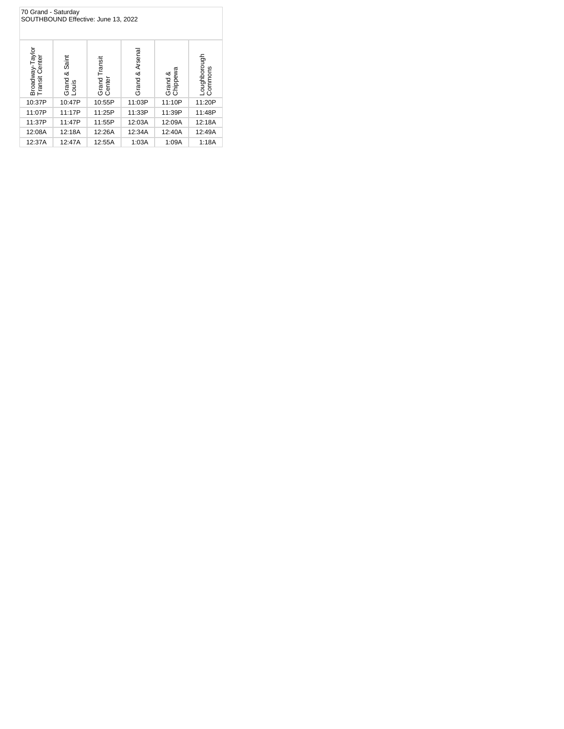| 70 Grand - Saturday<br>SOUTHBOUND Effective: June 13, 2022 |                              |                         |                 |                     |                         |  |  |
|------------------------------------------------------------|------------------------------|-------------------------|-----------------|---------------------|-------------------------|--|--|
| Broadway-Taylor<br>Transit Center                          | Saint<br>∞<br>Grand<br>Louis | Grand Transit<br>Center | Grand & Arsenal | Grand &<br>Chippewa | Loughborough<br>Commons |  |  |
| 10:37P                                                     | 10:47P                       | 10:55P                  | 11:03P          | 11:10P              | 11:20P                  |  |  |
| 11:07P                                                     | 11:17P                       | 11:25P                  | 11:33P          | 11:39P              | 11:48P                  |  |  |
| 11:37P                                                     | 11:47P                       | 11:55P                  | 12:03A          | 12:09A              | 12:18A                  |  |  |
| 12:08A                                                     | 12:18A                       | 12:26A                  | 12:34A          | 12:40A              | 12:49A                  |  |  |
| 12:37A                                                     | 12:47A                       | 12:55A                  | 1:03A           | 1:09A               | 1:18A                   |  |  |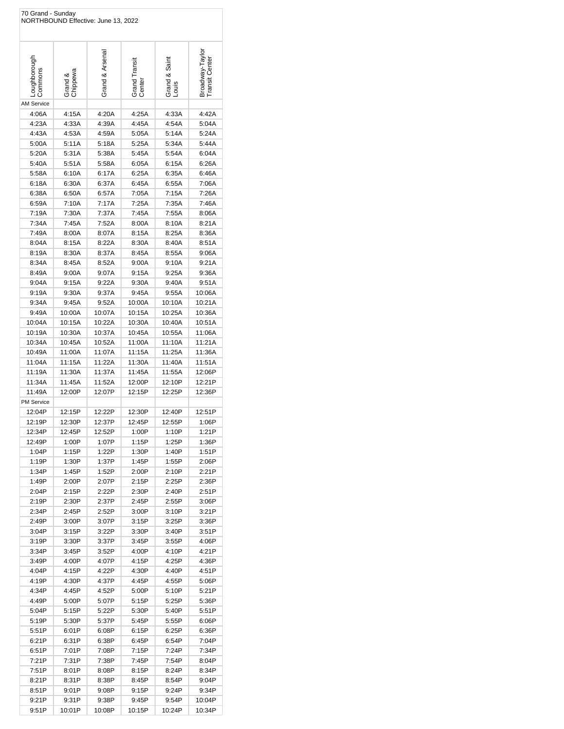| Loughborough<br>Commons |                     | Grand & Arsenal  | Grand Transit<br>Center | Grand & Saint<br>Louis | Broadway-Taylor<br>ransit Center |
|-------------------------|---------------------|------------------|-------------------------|------------------------|----------------------------------|
|                         | Grand &<br>Chippewa |                  |                         |                        |                                  |
|                         |                     |                  |                         |                        |                                  |
|                         |                     |                  |                         |                        |                                  |
| <b>AM Service</b>       |                     |                  |                         |                        |                                  |
| 4:06A                   | 4:15A               | 4:20A            | 4:25A                   | 4:33A                  | 4:42A                            |
| 4:23A                   | 4:33A               | 4:39A            | 4:45A                   | 4:54A                  | 5:04A                            |
| 4:43A                   | 4:53A               | 4:59A            | 5:05A                   | 5:14A                  | 5:24A                            |
| 5:00A<br>5:20A          | 5:11A<br>5:31A      | 5:18A<br>5:38A   | 5:25A<br>5:45A          | 5:34A<br>5:54A         | 5:44A<br>6:04A                   |
| 5:40A                   | 5:51A               | 5:58A            | 6:05A                   | 6:15A                  | 6:26A                            |
| 5:58A                   | 6:10A               | 6:17A            | 6:25A                   | 6:35A                  | 6:46A                            |
| 6:18A                   | 6:30A               | 6:37A            | 6:45A                   | 6:55A                  | 7:06A                            |
| 6:38A                   | 6:50A               | 6:57A            | 7:05A                   | 7:15A                  | 7:26A                            |
| 6:59A                   | 7:10A               | 7:17A            | 7:25A                   | 7:35A                  | 7:46A                            |
| 7:19A                   | 7:30A               | 7:37A            | 7:45A                   | 7:55A                  | 8:06A                            |
| 7:34A                   | 7:45A               | 7:52A            | 8:00A                   | 8:10A                  | 8:21A                            |
| 7:49A                   | 8:00A               | 8:07A            | 8:15A                   | 8:25A                  | 8:36A                            |
| 8:04A                   | 8:15A               | 8:22A            | 8:30A                   | 8:40A                  | 8:51A                            |
| 8:19A                   | 8:30A               | 8:37A            | 8:45A                   | 8:55A                  | 9:06A                            |
| 8:34A                   | 8:45A               | 8:52A            | 9:00A                   | 9:10A                  | 9:21A                            |
| 8:49A                   | 9:00A               | 9:07A            | 9:15A                   | 9:25A                  | 9:36A                            |
| 9:04A                   | 9:15A               | 9:22A            | 9:30A                   | 9:40A                  | 9:51A                            |
| 9:19A                   | 9:30A               | 9:37A            | 9:45A                   | 9:55A                  | 10:06A                           |
| 9:34A                   | 9:45A               | 9:52A            | 10:00A                  | 10:10A                 | 10:21A                           |
| 9:49A                   | 10:00A              | 10:07A           | 10:15A                  | 10:25A                 | 10:36A                           |
| 10:04A                  | 10:15A              | 10:22A           | 10:30A                  | 10:40A                 | 10:51A                           |
| 10:19A                  | 10:30A              | 10:37A           | 10:45A                  | 10:55A                 | 11:06A                           |
| 10:34A                  | 10:45A              | 10:52A           | 11:00A                  | 11:10A                 | 11:21A                           |
| 10:49A                  | 11:00A              | 11:07A           | 11:15A                  | 11:25A                 | 11:36A                           |
| 11:04A<br>11:19A        | 11:15A<br>11:30A    | 11:22A<br>11:37A | 11:30A<br>11:45A        | 11:40A<br>11:55A       | 11:51A<br>12:06P                 |
| 11:34A                  | 11:45A              | 11:52A           | 12:00P                  | 12:10P                 | 12:21P                           |
| 11:49A                  | 12:00P              | 12:07P           | 12:15P                  | 12:25P                 | 12:36P                           |
| <b>PM Service</b>       |                     |                  |                         |                        |                                  |
| 12:04P                  | 12:15P              | 12:22P           | 12:30P                  | 12:40P                 | 12:51P                           |
| 12:19P                  | 12:30P              | 12:37P           | 12:45P                  | 12:55P                 | 1:06P                            |
| 12:34P                  | 12:45P              | 12:52P           | 1:00P                   | 1:10P                  | 1:21P                            |
| 12:49P                  | 1:00P               | 1:07P            | 1:15P                   | 1:25P                  | 1:36P                            |
| 1:04P                   | 1:15P               | 1:22P            | 1:30P                   | 1:40P                  | 1:51P                            |
| 1:19P                   | 1:30P               | 1:37P            | 1:45P                   | 1:55P                  | 2:06P                            |
| 1:34P                   | 1:45P               | 1:52P            | 2:00P                   | 2:10P                  | 2:21P                            |
| 1:49P                   | 2:00P               | 2:07P            | 2:15P                   | 2:25P                  | 2:36P                            |
| 2:04P                   | 2:15P               | 2:22P            | 2:30P                   | 2:40P                  | 2:51P                            |
| 2:19P                   | 2:30P               | 2:37P            | 2:45P                   | 2:55P                  | 3:06P                            |
| 2:34P                   | 2:45P               | 2:52P            | 3:00P                   | 3:10P                  | 3:21P                            |
| 2:49P                   | 3:00P               | 3:07P            | 3:15P                   | 3:25P                  | 3:36P                            |
| 3:04P                   | 3:15P<br>3:30P      | 3:22P<br>3:37P   | 3:30P                   | 3:40P                  | 3:51P                            |
| 3:19P<br>3:34P          | 3:45P               | 3:52P            | 3:45P<br>4:00P          | 3:55P<br>4:10P         | 4:06P<br>4:21P                   |
| 3:49P                   | 4:00P               | 4:07P            | 4:15P                   | 4:25P                  | 4:36P                            |
| 4:04P                   | 4:15P               | 4:22P            | 4:30P                   | 4:40P                  | 4:51P                            |
| 4:19P                   | 4:30P               | 4:37P            | 4:45P                   | 4:55P                  | 5:06P                            |
| 4:34P                   | 4:45P               | 4:52P            | 5:00P                   | 5:10P                  | 5:21P                            |
| 4:49P                   | 5:00P               | 5:07P            | 5:15P                   | 5:25P                  | 5:36P                            |
| 5:04P                   | 5:15P               | 5:22P            | 5:30P                   | 5:40P                  | 5:51P                            |
| 5:19P                   | 5:30P               | 5:37P            | 5:45P                   | 5:55P                  | 6:06P                            |
| 5:51P                   | 6:01P               | 6:08P            | 6:15P                   | 6:25P                  | 6:36P                            |
| 6:21P                   | 6:31P               | 6:38P            | 6:45P                   | 6:54P                  | 7:04P                            |
| 6:51P                   | 7:01P               | 7:08P            | 7:15P                   | 7:24P                  | 7:34P                            |
| 7:21P                   | 7:31P               | 7:38P            | 7:45P                   | 7:54P                  | 8:04P                            |
| 7:51P                   | 8:01P               | 8:08P            | 8:15P                   | 8:24P                  | 8:34P                            |
| 8:21P                   | 8:31P               | 8:38P            | 8:45P                   | 8:54P                  | 9:04P                            |
| 8:51P                   | 9:01P               | 9:08P            | 9:15P                   | 9:24P                  | 9:34P                            |
| 9:21P                   | 9:31P               | 9:38P            | 9:45P                   | 9:54P                  | 10:04P                           |
|                         |                     |                  |                         |                        | 10:34P                           |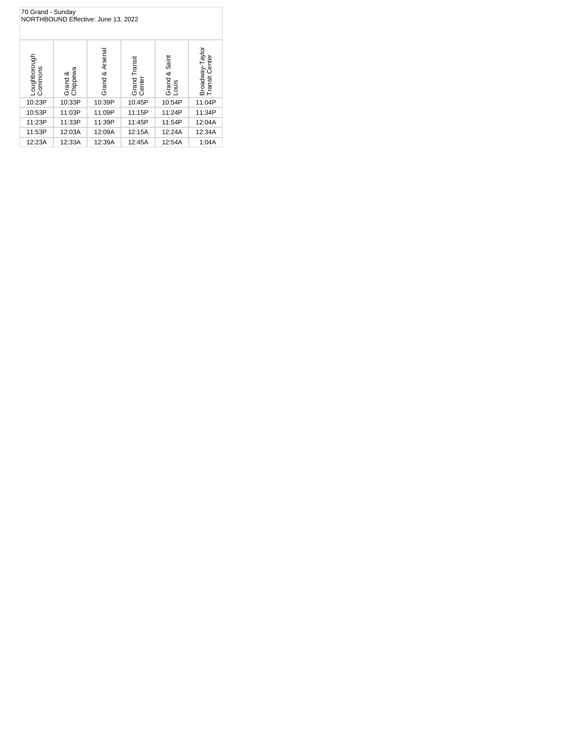| 70 Grand - Sunday<br>NORTHBOUND Effective: June 13, 2022 |                                           |        |                         |                           |                                          |  |  |
|----------------------------------------------------------|-------------------------------------------|--------|-------------------------|---------------------------|------------------------------------------|--|--|
| Loughborough<br>Commons                                  | & Arsenal<br>Grand &<br>Chippewa<br>Grand |        | Grand Transit<br>Center | & Saint<br>Grand<br>Louis | raylor<br>Centei<br>Broadway-Tansit Cent |  |  |
| 10:23P                                                   | 10:33P                                    | 10:39P | 10:45P                  | 10:54P                    | 11:04P                                   |  |  |
| 10:53P                                                   | 11:03P                                    | 11:09P | 11:15P                  | 11:24P                    | 11:34P                                   |  |  |
| 11:23P                                                   | 11:33P                                    | 11:39P | 11:45P                  | 11:54P                    | 12:04A                                   |  |  |
| 11:53P                                                   | 12:03A                                    | 12:09A | 12:15A                  | 12:24A                    | 12:34A                                   |  |  |
| 12:23A                                                   | 12:33A                                    | 12:39A | 12:45A                  | 12:54A                    | 1:04A                                    |  |  |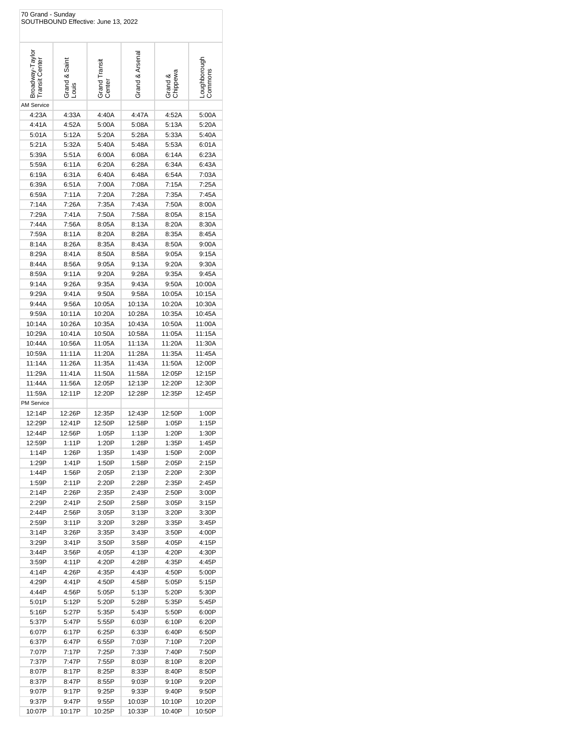| 70 Grand - Sunday                 |                        | SOUTHBOUND Effective: June 13, 2022 |                  |                     |                         |
|-----------------------------------|------------------------|-------------------------------------|------------------|---------------------|-------------------------|
| Broadway-Taylor<br>Transit Center | Grand & Saint<br>Louis | Grand Transit<br>Center             | Grand & Arsenal  | Grand &<br>Chippewa | Loughborough<br>Commons |
| <b>AM Service</b>                 |                        |                                     |                  |                     |                         |
| 4:23A                             | 4:33A                  | 4:40A                               | 4:47A            | 4:52A               | 5:00A                   |
| 4:41A                             | 4:52A                  | 5:00A                               | 5:08A            | 5:13A               | 5:20A                   |
| 5:01A                             | 5:12A                  | 5:20A                               | 5:28A            | 5:33A               | 5:40A                   |
| 5:21A                             | 5:32A                  | 5:40A                               | 5:48A            | 5:53A               | 6:01A                   |
| 5:39A                             | 5:51A                  | 6:00A                               | 6:08A            | 6:14A               | 6:23A                   |
| 5:59A<br>6:19A                    | 6:11A<br>6:31A         | 6:20A<br>6:40A                      | 6:28A<br>6:48A   | 6:34A<br>6:54A      | 6:43A<br>7:03A          |
| 6:39A                             | 6:51A                  | 7:00A                               | 7:08A            | 7:15A               | 7:25A                   |
| 6:59A                             | 7:11A                  | 7:20A                               | 7:28A            | 7:35A               | 7:45A                   |
| 7:14A                             | 7:26A                  | 7:35A                               | 7:43A            | 7:50A               | 8:00A                   |
| 7:29A                             | 7:41A                  | 7:50A                               | 7:58A            | 8:05A               | 8:15A                   |
| 7:44A                             | 7:56A                  | 8:05A                               | 8:13A            | 8:20A               | 8:30A                   |
| 7:59A                             | 8:11A                  | 8:20A                               | 8:28A            | 8:35A               | 8:45A                   |
| 8:14A                             | 8:26A                  | 8:35A                               | 8:43A            | 8:50A               | 9:00A                   |
| 8:29A                             | 8:41A                  | 8:50A                               | 8:58A            | 9:05A               | 9:15A                   |
| 8:44A                             | 8:56A                  | 9:05A                               | 9:13A            | 9:20A               | 9:30A                   |
| 8:59A                             | 9:11A                  | 9:20A                               | 9:28A            | 9:35A               | 9:45A                   |
| 9:14A                             | 9:26A                  | 9:35A                               | 9:43A            | 9:50A               | 10:00A                  |
| 9:29A                             | 9:41A                  | 9:50A                               | 9:58A            | 10:05A              | 10:15A                  |
| 9:44A                             | 9:56A                  | 10:05A                              | 10:13A           | 10:20A              | 10:30A                  |
| 9:59A                             | 10:11A                 | 10:20A                              | 10:28A           | 10:35A              | 10:45A                  |
| 10:14A                            | 10:26A                 | 10:35A                              | 10:43A           | 10:50A              | 11:00A                  |
| 10:29A                            | 10:41A                 | 10:50A                              | 10:58A           | 11:05A              | 11:15A                  |
| 10:44A                            | 10:56A                 | 11:05A                              | 11:13A           | 11:20A              | 11:30A                  |
| 10:59A                            | 11:11A                 | 11:20A                              | 11:28A           | 11:35A              | 11:45A                  |
| 11:14A                            | 11:26A                 | 11:35A                              | 11:43A           | 11:50A              | 12:00P                  |
| 11:29A                            | 11:41A                 | 11:50A                              | 11:58A           | 12:05P              | 12:15P                  |
| 11:44A<br>11:59A                  | 11:56A<br>12:11P       | 12:05P<br>12:20P                    | 12:13P<br>12:28P | 12:20P              | 12:30P<br>12:45P        |
| <b>PM Service</b>                 |                        |                                     |                  | 12:35P              |                         |
| 12:14P                            | 12:26P                 | 12:35P                              | 12:43P           | 12:50P              | 1:00P                   |
| 12:29P                            | 12:41P                 | 12:50P                              | 12:58P           | 1:05P               | 1:15P                   |
| 12:44P                            | 12:56P                 | 1:05P                               | 1:13P            | 1:20P               | 1:30P                   |
| 12:59P                            | 1:11P                  | 1:20P                               | 1:28P            | 1:35P               | 1:45P                   |
| 1:14P                             | 1:26P                  | 1:35P                               | 1:43P            | 1:50P               | 2:00P                   |
| 1:29P                             | 1:41P                  | 1:50P                               | 1:58P            | 2:05P               | 2:15P                   |
| 1:44P                             | 1:56P                  | 2:05P                               | 2:13P            | 2:20P               | 2:30P                   |
| 1:59P                             | 2:11P                  | 2:20P                               | 2:28P            | 2:35P               | 2:45P                   |
| 2:14P                             | 2:26P                  | 2:35P                               | 2:43P            | 2:50P               | 3:00P                   |
| 2:29P                             | 2:41P                  | 2:50P                               | 2:58P            | 3:05P               | 3:15P                   |
| 2:44P<br>2:59P                    | 2:56P<br>3:11P         | 3:05P<br>3:20P                      | 3:13P<br>3:28P   | 3:20P<br>3:35P      | 3:30P<br>3:45P          |
| 3:14P                             | 3:26P                  | 3:35P                               | 3:43P            | 3:50P               | 4:00P                   |
| 3:29P                             | 3:41P                  | 3:50P                               | 3:58P            | 4:05P               | 4:15P                   |
| 3:44P                             | 3:56P                  | 4:05P                               | 4:13P            | 4:20P               | 4:30P                   |
| 3:59P                             | 4:11P                  | 4:20P                               | 4:28P            | 4:35P               | 4:45P                   |
| 4:14P                             | 4:26P                  | 4:35P                               | 4:43P            | 4:50P               | 5:00P                   |
| 4:29P                             | 4:41P                  | 4:50P                               | 4:58P            | 5:05P               | 5:15P                   |
| 4:44P                             | 4:56P                  | 5:05P                               | 5:13P            | 5:20P               | 5:30P                   |
| 5:01P                             | 5:12P                  | 5:20P                               | 5:28P            | 5:35P               | 5:45P                   |
| 5:16P                             | 5:27P                  | 5:35P                               | 5:43P            | 5:50P               | 6:00P                   |
| 5:37P                             | 5:47P                  | 5:55P                               | 6:03P            | 6:10P               | 6:20P                   |
| 6:07P                             | 6:17P                  | 6:25P                               | 6:33P            | 6:40P               | 6:50P                   |
| 6:37P                             | 6:47P                  | 6:55P                               | 7:03P            | 7:10P               | 7:20P                   |
| 7:07P                             | 7:17P                  | 7:25P                               | 7:33P            | 7:40P               | 7:50P                   |
| 7:37P                             | 7:47P                  | 7:55P                               | 8:03P            | 8:10P               | 8:20P                   |
| 8:07P<br>8:37P                    | 8:17P<br>8:47P         | 8:25P<br>8:55P                      | 8:33P<br>9:03P   | 8:40P<br>9:10P      | 8:50P<br>9:20P          |
| 9:07P                             | 9:17P                  | 9:25P                               | 9:33P            | 9:40P               | 9:50P                   |
| 9:37P                             | 9:47P                  | 9:55P                               | 10:03P           | 10:10P              | 10:20P                  |
| 10:07P                            | 10:17P                 | 10:25P                              | 10:33P           | 10:40P              | 10:50P                  |
|                                   |                        |                                     |                  |                     |                         |